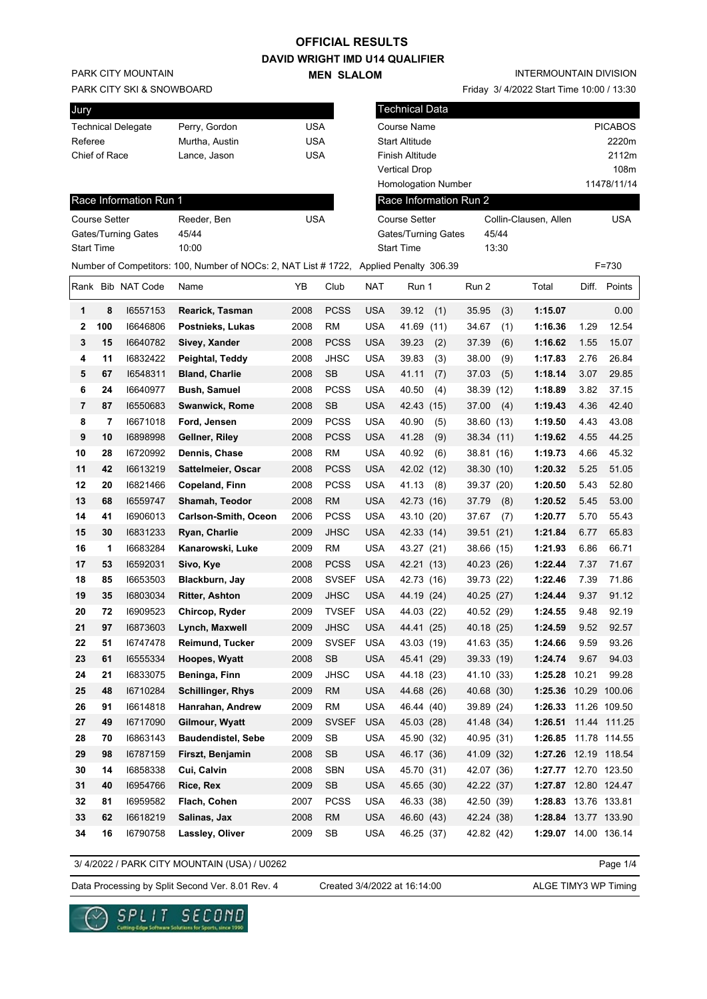### **OFFICIAL RESULTS**

**DAVID WRIGHT IMD U14 QUALIFIER MEN SLALOM** 

PARK CITY MOUNTAIN

#### PARK CITY SKI & SNOWBOARD

| Perry, Gordon  | USA |
|----------------|-----|
| Murtha, Austin | USA |
| Lance, Jason   | USA |
|                |     |

Friday 3/ 4/2022 Start Time 10:00 / 13:30

| Jury                 |     |                            |                                                                                       |            |              |            | Technical Data             |                        |       |                       |           |                |
|----------------------|-----|----------------------------|---------------------------------------------------------------------------------------|------------|--------------|------------|----------------------------|------------------------|-------|-----------------------|-----------|----------------|
|                      |     | <b>Technical Delegate</b>  | Perry, Gordon                                                                         | <b>USA</b> |              |            | Course Name                |                        |       |                       |           | <b>PICABOS</b> |
| Referee              |     |                            | Murtha, Austin                                                                        | <b>USA</b> |              |            | Start Altitude             |                        |       |                       |           | 2220m          |
| Chief of Race        |     |                            | Lance, Jason                                                                          | <b>USA</b> |              |            | Finish Altitude            |                        |       |                       |           | 2112m          |
|                      |     |                            |                                                                                       |            |              |            | <b>Vertical Drop</b>       |                        |       |                       |           | 108m           |
|                      |     |                            |                                                                                       |            |              |            | Homologation Number        |                        |       |                       |           | 11478/11/14    |
|                      |     | Race Information Run 1     |                                                                                       |            |              |            |                            | Race Information Run 2 |       |                       |           |                |
| <b>Course Setter</b> |     |                            | Reeder, Ben                                                                           | <b>USA</b> |              |            | <b>Course Setter</b>       |                        |       | Collin-Clausen, Allen |           | <b>USA</b>     |
|                      |     | <b>Gates/Turning Gates</b> | 45/44                                                                                 |            |              |            | <b>Gates/Turning Gates</b> |                        | 45/44 |                       |           |                |
| <b>Start Time</b>    |     |                            | 10:00                                                                                 |            |              |            | <b>Start Time</b>          |                        | 13:30 |                       |           |                |
|                      |     |                            | Number of Competitors: 100, Number of NOCs: 2, NAT List #1722, Applied Penalty 306.39 |            |              |            |                            |                        |       |                       | $F = 730$ |                |
|                      |     | Rank Bib NAT Code          | Name                                                                                  | YΒ         | Club         | NAT        | Run 1                      | Run 2                  |       | Total                 | Diff.     | Points         |
| 1                    | 8   | 16557153                   | Rearick, Tasman                                                                       | 2008       | <b>PCSS</b>  | <b>USA</b> | 39.12<br>(1)               | 35.95                  | (3)   | 1:15.07               |           | 0.00           |
| $\mathbf{2}$         | 100 | 16646806                   | Postnieks, Lukas                                                                      | 2008       | <b>RM</b>    | <b>USA</b> | 41.69<br>(11)              | 34.67                  | (1)   | 1:16.36               | 1.29      | 12.54          |
| 3                    | 15  | 16640782                   | Sivey, Xander                                                                         | 2008       | <b>PCSS</b>  | <b>USA</b> | 39.23<br>(2)               | 37.39                  | (6)   | 1:16.62               | 1.55      | 15.07          |
| 4                    | 11  | 16832422                   | Peightal, Teddy                                                                       | 2008       | <b>JHSC</b>  | <b>USA</b> | 39.83<br>(3)               | 38.00                  | (9)   | 1:17.83               | 2.76      | 26.84          |
| 5                    | 67  | 16548311                   | <b>Bland, Charlie</b>                                                                 | 2008       | <b>SB</b>    | <b>USA</b> | (7)<br>41.11               | 37.03                  | (5)   | 1:18.14               | 3.07      | 29.85          |
| 6                    | 24  | 16640977                   | <b>Bush, Samuel</b>                                                                   | 2008       | <b>PCSS</b>  | <b>USA</b> | 40.50<br>(4)               | 38.39                  | (12)  | 1:18.89               | 3.82      | 37.15          |
| 7                    | 87  | 16550683                   | Swanwick, Rome                                                                        | 2008       | <b>SB</b>    | <b>USA</b> | 42.43<br>(15)              | 37.00                  | (4)   | 1:19.43               | 4.36      | 42.40          |
| 8                    | 7   | 16671018                   | Ford, Jensen                                                                          | 2009       | <b>PCSS</b>  | <b>USA</b> | 40.90<br>(5)               | 38.60 (13)             |       | 1:19.50               | 4.43      | 43.08          |
| 9                    | 10  | 16898998                   | Gellner, Riley                                                                        | 2008       | <b>PCSS</b>  | <b>USA</b> | 41.28<br>(9)               | 38.34 (11)             |       | 1:19.62               | 4.55      | 44.25          |
| 10                   | 28  | 16720992                   | Dennis, Chase                                                                         | 2008       | <b>RM</b>    | <b>USA</b> | 40.92<br>(6)               | 38.81 (16)             |       | 1:19.73               | 4.66      | 45.32          |
| 11                   | 42  | 16613219                   | Sattelmeier, Oscar                                                                    | 2008       | <b>PCSS</b>  | <b>USA</b> | 42.02 (12)                 | 38.30 (10)             |       | 1:20.32               | 5.25      | 51.05          |
| 12                   | 20  | 16821466                   | Copeland, Finn                                                                        | 2008       | <b>PCSS</b>  | <b>USA</b> | 41.13<br>(8)               | 39.37 (20)             |       | 1:20.50               | 5.43      | 52.80          |
| 13                   | 68  | 16559747                   | Shamah, Teodor                                                                        | 2008       | <b>RM</b>    | <b>USA</b> | 42.73 (16)                 | 37.79                  | (8)   | 1:20.52               | 5.45      | 53.00          |
| 14                   | 41  | 16906013                   | <b>Carlson-Smith, Oceon</b>                                                           | 2006       | <b>PCSS</b>  | <b>USA</b> | 43.10 (20)                 | 37.67                  | (7)   | 1:20.77               | 5.70      | 55.43          |
| 15                   | 30  | 16831233                   | Ryan, Charlie                                                                         | 2009       | <b>JHSC</b>  | <b>USA</b> | 42.33 (14)                 | 39.51                  | (21)  | 1:21.84               | 6.77      | 65.83          |
| 16                   | 1   | 16683284                   | Kanarowski, Luke                                                                      | 2009       | <b>RM</b>    | <b>USA</b> | 43.27 (21)                 | 38.66                  | (15)  | 1:21.93               | 6.86      | 66.71          |
| 17                   | 53  | 16592031                   | Sivo, Kye                                                                             | 2008       | <b>PCSS</b>  | <b>USA</b> | 42.21 (13)                 | 40.23 (26)             |       | 1:22.44               | 7.37      | 71.67          |
| 18                   | 85  | 16653503                   | Blackburn, Jay                                                                        | 2008       | <b>SVSEF</b> | <b>USA</b> | 42.73 (16)                 | 39.73 (22)             |       | 1:22.46               | 7.39      | 71.86          |
| 19                   | 35  | 16803034                   | <b>Ritter, Ashton</b>                                                                 | 2009       | <b>JHSC</b>  | <b>USA</b> | 44.19 (24)                 | 40.25 (27)             |       | 1:24.44               | 9.37      | 91.12          |
| 20                   | 72  | 16909523                   | Chircop, Ryder                                                                        | 2009       | <b>TVSEF</b> | <b>USA</b> | 44.03 (22)                 | 40.52 (29)             |       | 1:24.55               | 9.48      | 92.19          |
| 21                   | 97  | 16873603                   | Lynch, Maxwell                                                                        | 2009       | <b>JHSC</b>  | <b>USA</b> | 44.41 (25)                 | 40.18 (25)             |       | 1:24.59               | 9.52      | 92.57          |
| 22                   | 51  | 16747478                   | Reimund, Tucker                                                                       | 2009       | SVSEF USA    |            | 43.03 (19)                 | 41.63 (35)             |       | 1:24.66               | 9.59      | 93.26          |
| 23                   | 61  | 16555334                   | Hoopes, Wyatt                                                                         | 2008       | SB           | <b>USA</b> | 45.41 (29)                 | 39.33 (19)             |       | 1:24.74               | 9.67      | 94.03          |
| 24                   | 21  | 16833075                   | Beninga, Finn                                                                         | 2009       | <b>JHSC</b>  | <b>USA</b> | 44.18 (23)                 | 41.10 (33)             |       | 1:25.28 10.21         |           | 99.28          |
| 25                   | 48  | 16710284                   | <b>Schillinger, Rhys</b>                                                              | 2009       | <b>RM</b>    | <b>USA</b> | 44.68 (26)                 | 40.68 (30)             |       | 1:25.36 10.29 100.06  |           |                |
| 26                   | 91  | 16614818                   | Hanrahan, Andrew                                                                      | 2009       | <b>RM</b>    | <b>USA</b> | 46.44 (40)                 | 39.89 (24)             |       | 1:26.33 11.26 109.50  |           |                |
| 27                   | 49  | 16717090                   | Gilmour, Wyatt                                                                        | 2009       | <b>SVSEF</b> | <b>USA</b> | 45.03 (28)                 | 41.48 (34)             |       | 1:26.51 11.44 111.25  |           |                |
| 28                   | 70  | 16863143                   | <b>Baudendistel, Sebe</b>                                                             | 2009       | SB           | USA        | 45.90 (32)                 | 40.95 (31)             |       | 1:26.85 11.78 114.55  |           |                |
| 29                   | 98  | 16787159                   | Firszt, Benjamin                                                                      | 2008       | SB           | <b>USA</b> | 46.17 (36)                 | 41.09 (32)             |       | 1:27.26 12.19 118.54  |           |                |
| 30                   | 14  | 16858338                   | Cui, Calvin                                                                           | 2008       | <b>SBN</b>   | <b>USA</b> | 45.70 (31)                 | 42.07 (36)             |       | 1:27.77 12.70 123.50  |           |                |
| 31                   | 40  | 16954766                   | Rice, Rex                                                                             | 2009       | SB           | <b>USA</b> | 45.65 (30)                 | 42.22 (37)             |       | 1:27.87 12.80 124.47  |           |                |
| 32                   | 81  | 16959582                   | Flach, Cohen                                                                          | 2007       | <b>PCSS</b>  | <b>USA</b> | 46.33 (38)                 | 42.50 (39)             |       | 1:28.83 13.76 133.81  |           |                |
| 33                   | 62  | 16618219                   | Salinas, Jax                                                                          | 2008       | <b>RM</b>    | <b>USA</b> | 46.60 (43)                 | 42.24 (38)             |       | 1:28.84 13.77 133.90  |           |                |
| 34                   | 16  | 16790758                   | Lassley, Oliver                                                                       | 2009       | SB           | <b>USA</b> | 46.25 (37)                 | 42.82 (42)             |       | 1:29.07 14.00 136.14  |           |                |

3/ 4/2022 / PARK CITY MOUNTAIN (USA) / U0262

Page 1/4

Data Processing by Split Second Ver. 8.01 Rev. 4 Created 3/4/2022 at 16:14:00 ALGE TIMY3 WP Timing

Created 3/4/2022 at 16:14:00

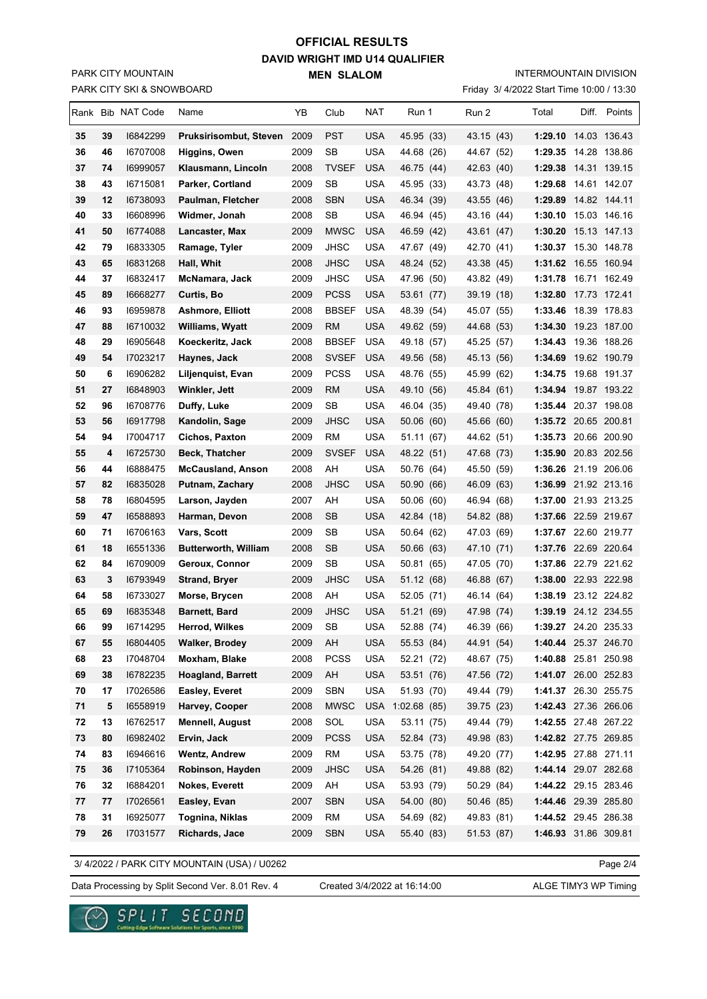## **DAVID WRIGHT IMD U14 QUALIFIER MEN SLALOM OFFICIAL RESULTS**

INTERMOUNTAIN DIVISION

|    | <b>PARK CITY SKI &amp; SNOWBOARD</b><br>Friday 3/ 4/2022 Start Time 10:00 / 13:30 |                   |                             |      |                      |            |             |  |            |                      |              |
|----|-----------------------------------------------------------------------------------|-------------------|-----------------------------|------|----------------------|------------|-------------|--|------------|----------------------|--------------|
|    |                                                                                   | Rank Bib NAT Code | Name                        | YB   | Club                 | NAT        | Run 1       |  | Run 2      | Total                | Diff. Points |
| 35 | 39                                                                                | 16842299          | Pruksirisombut, Steven 2009 |      | <b>PST</b>           | <b>USA</b> | 45.95 (33)  |  | 43.15 (43) | 1:29.10 14.03 136.43 |              |
| 36 | 46                                                                                | 16707008          | Higgins, Owen               | 2009 | SB                   | <b>USA</b> | 44.68 (26)  |  | 44.67 (52) | 1:29.35 14.28 138.86 |              |
| 37 | 74                                                                                | 16999057          | Klausmann, Lincoln          | 2008 | <b>TVSEF</b>         | <b>USA</b> | 46.75 (44)  |  | 42.63 (40) | 1:29.38 14.31 139.15 |              |
| 38 | 43                                                                                | 16715081          | Parker, Cortland            | 2009 | SB                   | <b>USA</b> | 45.95 (33)  |  | 43.73 (48) | 1:29.68 14.61 142.07 |              |
| 39 | 12                                                                                | 16738093          | Paulman, Fletcher           | 2008 | <b>SBN</b>           | <b>USA</b> | 46.34 (39)  |  | 43.55 (46) | 1:29.89              |              |
| 40 | 33                                                                                | 16608996          | Widmer, Jonah               | 2008 | SB                   | <b>USA</b> | 46.94 (45)  |  | 43.16 (44) | 1:30.10 15.03 146.16 |              |
| 41 | 50                                                                                | 16774088          | Lancaster, Max              | 2009 | <b>MWSC</b>          | <b>USA</b> | 46.59 (42)  |  | 43.61 (47) | 1:30.20 15.13 147.13 |              |
| 42 | 79                                                                                | 16833305          | Ramage, Tyler               | 2009 | <b>JHSC</b>          | <b>USA</b> | 47.67 (49)  |  | 42.70 (41) | 1:30.37 15.30 148.78 |              |
| 43 | 65                                                                                | 16831268          | Hall, Whit                  | 2008 | <b>JHSC</b>          | USA        | 48.24 (52)  |  | 43.38 (45) | 1:31.62 16.55 160.94 |              |
| 44 | 37                                                                                | 16832417          | McNamara, Jack              | 2009 | JHSC                 | <b>USA</b> | 47.96 (50)  |  | 43.82 (49) | 1:31.78              | 16.71 162.49 |
| 45 | 89                                                                                | 16668277          | Curtis, Bo                  | 2009 | <b>PCSS</b>          | <b>USA</b> | 53.61 (77)  |  | 39.19 (18) | 1:32.80              | 17.73 172.41 |
| 46 | 93                                                                                | 16959878          | <b>Ashmore, Elliott</b>     | 2008 | <b>BBSEF</b>         | <b>USA</b> | 48.39 (54)  |  | 45.07 (55) | 1:33.46 18.39 178.83 |              |
| 47 | 88                                                                                | 16710032          | Williams, Wyatt             | 2009 | RM                   | <b>USA</b> | 49.62 (59)  |  | 44.68 (53) | 1:34.30 19.23 187.00 |              |
| 48 | 29                                                                                | 16905648          | Koeckeritz, Jack            | 2008 | <b>BBSEF</b>         | <b>USA</b> | 49.18 (57)  |  | 45.25 (57) | 1:34.43              | 19.36 188.26 |
| 49 | 54                                                                                | 17023217          | Haynes, Jack                | 2008 | <b>SVSEF</b>         | <b>USA</b> | 49.56 (58)  |  | 45.13 (56) | 1:34.69 19.62 190.79 |              |
| 50 | 6                                                                                 | 16906282          | Liljenquist, Evan           | 2009 | <b>PCSS</b>          | <b>USA</b> | 48.76 (55)  |  | 45.99 (62) | 1:34.75 19.68 191.37 |              |
| 51 | 27                                                                                | 16848903          | Winkler, Jett               | 2009 | <b>RM</b>            | <b>USA</b> | 49.10 (56)  |  | 45.84 (61) | 1:34.94 19.87 193.22 |              |
| 52 | 96                                                                                | 16708776          | Duffy, Luke                 | 2009 | SB                   | <b>USA</b> | 46.04 (35)  |  | 49.40 (78) | 1:35.44 20.37 198.08 |              |
| 53 | 56                                                                                | 16917798          | Kandolin, Sage              | 2009 | JHSC                 | USA        | 50.06 (60)  |  | 45.66 (60) | 1:35.72 20.65 200.81 |              |
| 54 | 94                                                                                | 17004717          | <b>Cichos, Paxton</b>       | 2009 | RM                   | <b>USA</b> | 51.11 (67)  |  | 44.62 (51) | 1:35.73 20.66 200.90 |              |
| 55 | 4                                                                                 | 16725730          | Beck, Thatcher              | 2009 | <b>SVSEF</b>         | <b>USA</b> | 48.22 (51)  |  | 47.68 (73) | 1:35.90 20.83 202.56 |              |
| 56 | 44                                                                                | 16888475          | <b>McCausland, Anson</b>    | 2008 | AH                   | USA        | 50.76 (64)  |  | 45.50 (59) | 1:36.26 21.19 206.06 |              |
| 57 | 82                                                                                | 16835028          | Putnam, Zachary             | 2008 | <b>JHSC</b>          | <b>USA</b> | 50.90 (66)  |  | 46.09 (63) | 1:36.99 21.92 213.16 |              |
| 58 | 78                                                                                | 16804595          | Larson, Jayden              | 2007 | AH                   | <b>USA</b> | 50.06 (60)  |  | 46.94 (68) | 1:37.00 21.93 213.25 |              |
| 59 | 47                                                                                | 16588893          | Harman, Devon               | 2008 | <b>SB</b>            | <b>USA</b> | 42.84 (18)  |  | 54.82 (88) | 1:37.66 22.59 219.67 |              |
| 60 | 71                                                                                | 16706163          | Vars, Scott                 | 2009 | SB                   | <b>USA</b> | 50.64 (62)  |  | 47.03 (69) | 1:37.67 22.60 219.77 |              |
| 61 | 18                                                                                | 16551336          | <b>Butterworth, William</b> | 2008 | SB                   | <b>USA</b> | 50.66 (63)  |  | 47.10 (71) | 1:37.76 22.69 220.64 |              |
| 62 | 84                                                                                | 16709009          | Geroux, Connor              | 2009 | SB                   | <b>USA</b> | 50.81 (65)  |  | 47.05 (70) | 1:37.86 22.79 221.62 |              |
| 63 | 3                                                                                 | 16793949          | <b>Strand, Bryer</b>        | 2009 | <b>JHSC</b>          | USA        | 51.12 (68)  |  | 46.88 (67) | 1:38.00 22.93 222.98 |              |
| 64 | 58                                                                                | 16733027          | Morse, Brycen               | 2008 | AH                   | <b>USA</b> | 52.05 (71)  |  | 46.14 (64) | 1:38.19 23.12 224.82 |              |
| 65 | 69                                                                                | 16835348          | Barnett, Bard               | 2009 | JHSC                 | <b>USA</b> | 51.21 (69)  |  | 47.98 (74) | 1:39.19 24.12 234.55 |              |
| 66 | 99                                                                                | 16714295          | Herrod, Wilkes              | 2009 | $\mathsf{SB}\xspace$ | <b>USA</b> | 52.88 (74)  |  | 46.39 (66) | 1:39.27 24.20 235.33 |              |
| 67 | 55                                                                                | 16804405          | <b>Walker, Brodey</b>       | 2009 | AH                   | <b>USA</b> | 55.53 (84)  |  | 44.91 (54) | 1:40.44 25.37 246.70 |              |
| 68 | 23                                                                                | 17048704          | Moxham, Blake               | 2008 | <b>PCSS</b>          | <b>USA</b> | 52.21 (72)  |  | 48.67 (75) | 1:40.88 25.81 250.98 |              |
| 69 | 38                                                                                | 16782235          | Hoagland, Barrett           | 2009 | AH                   | <b>USA</b> | 53.51 (76)  |  | 47.56 (72) | 1:41.07 26.00 252.83 |              |
| 70 | 17                                                                                | 17026586          | Easley, Everet              | 2009 | <b>SBN</b>           | <b>USA</b> | 51.93 (70)  |  | 49.44 (79) | 1:41.37 26.30 255.75 |              |
| 71 | 5                                                                                 | 16558919          | Harvey, Cooper              | 2008 | <b>MWSC</b>          | <b>USA</b> | 1:02.68(85) |  | 39.75 (23) | 1:42.43 27.36 266.06 |              |
| 72 | 13                                                                                | 16762517          | <b>Mennell, August</b>      | 2008 | SOL                  | <b>USA</b> | 53.11 (75)  |  | 49.44 (79) | 1:42.55 27.48 267.22 |              |
| 73 | 80                                                                                | 16982402          | Ervin, Jack                 | 2009 | <b>PCSS</b>          | <b>USA</b> | 52.84 (73)  |  | 49.98 (83) | 1:42.82 27.75 269.85 |              |
| 74 | 83                                                                                | 16946616          | <b>Wentz, Andrew</b>        | 2009 | <b>RM</b>            | <b>USA</b> | 53.75 (78)  |  | 49.20 (77) | 1:42.95 27.88 271.11 |              |
| 75 | 36                                                                                | 17105364          | Robinson, Hayden            | 2009 | <b>JHSC</b>          | <b>USA</b> | 54.26 (81)  |  | 49.88 (82) | 1:44.14 29.07 282.68 |              |
| 76 | 32                                                                                | 16884201          | Nokes, Everett              | 2009 | AH                   | <b>USA</b> | 53.93 (79)  |  | 50.29 (84) | 1:44.22 29.15 283.46 |              |
| 77 | 77                                                                                | 17026561          | Easley, Evan                | 2007 | <b>SBN</b>           | <b>USA</b> | 54.00 (80)  |  | 50.46 (85) | 1:44.46 29.39 285.80 |              |
| 78 | 31                                                                                | 16925077          | Tognina, Niklas             | 2009 | RM                   | <b>USA</b> | 54.69 (82)  |  | 49.83 (81) | 1:44.52 29.45 286.38 |              |
| 79 | 26                                                                                | 17031577          | Richards, Jace              | 2009 | <b>SBN</b>           | <b>USA</b> | 55.40 (83)  |  | 51.53 (87) | 1:46.93 31.86 309.81 |              |

3/ 4/2022 / PARK CITY MOUNTAIN (USA) / U0262

Page 2/4

Data Processing by Split Second Ver. 8.01 Rev. 4 Created 3/4/2022 at 16:14:00 ALGE TIMY3 WP Timing

Created 3/4/2022 at 16:14:00



PARK CITY MOUNTAIN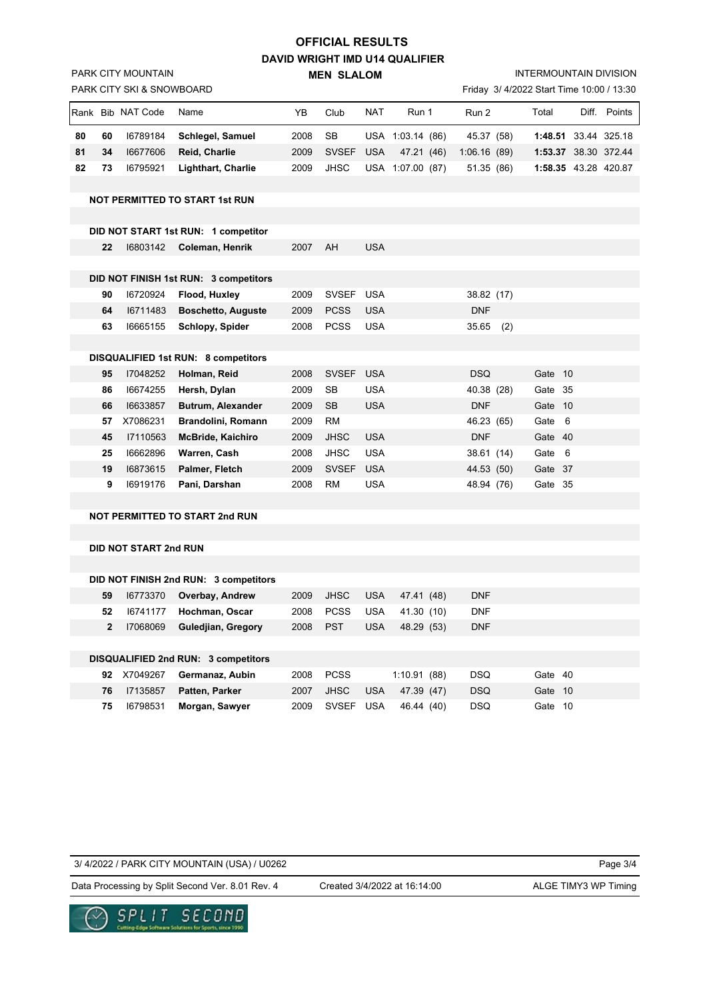## **DAVID WRIGHT IMD U14 QUALIFIER OFFICIAL RESULTS**

**MEN SLALOM**  Friday 3/ 4/2022 Start Time 10:00 / 13:30 PARK CITY SKI & SNOWBOARD Rank Bib NAT Code Name **YB Club NAT Run 1** Run 2 Total Diff. Points **80 60** I6789184 **Schlegel, Samuel** 2008 SB USA 1:03.14 (86) 45.37 (58) **1:48.51** 33.44 325.18 **81 34** I6677606 **Reid, Charlie** 2009 SVSEF USA 47.21 (46) 1:06.16 (89) **1:53.37** 38.30 372.44 **82 73** I6795921 **Lighthart, Charlie** 2009 JHSC USA 1:07.00 (87) 51.35 (86) **1:58.35** 43.28 420.87 **NOT PERMITTED TO START 1st RUN DID NOT START 1st RUN: 1 competitor 22** I6803142 **Coleman, Henrik** 2007 AH USA **DID NOT FINISH 1st RUN: 3 competitors 90** I6720924 **Flood, Huxley** 2009 SVSEF USA 38.82 (17)  **64** I6711483 **Boschetto, Auguste** 2009 PCSS USA DNF  **63** I6665155 **Schlopy, Spider** 2008 PCSS USA 35.65 (2) **DISQUALIFIED 1st RUN: 8 competitors 95** I7048252 **Holman, Reid** 2008 SVSEF USA DSQ Gate 10  **86** I6674255 **Hersh, Dylan** 2009 SB USA 40.38 (28) Gate 35  **66** I6633857 **Butrum, Alexander** 2009 SB USA DNF Gate 10  **57** X7086231 **Brandolini, Romann** 2009 RM 46.23 (65) Gate 6  **45** I7110563 **McBride, Kaichiro** 2009 JHSC USA DNF Gate 40  **25** I6662896 **Warren, Cash** 2008 JHSC USA 38.61 (14) Gate 6  **19** I6873615 **Palmer, Fletch** 2009 SVSEF USA 44.53 (50) Gate 37  **9** I6919176 **Pani, Darshan** 2008 RM USA 48.94 (76) Gate 35 **NOT PERMITTED TO START 2nd RUN DID NOT START 2nd RUN DID NOT FINISH 2nd RUN: 3 competitors 59** I6773370 **Overbay, Andrew** 2009 JHSC USA 47.41 (48) DNF  **52** I6741177 **Hochman, Oscar** 2008 PCSS USA 41.30 (10) DNF  **2** I7068069 **Guledjian, Gregory** 2008 PST USA 48.29 (53) DNF **DISQUALIFIED 2nd RUN: 3 competitors 92** X7049267 **Germanaz, Aubin** 2008 PCSS 1:10.91 (88) DSQ Gate 40  **76** I7135857 **Patten, Parker** 2007 JHSC USA 47.39 (47) DSQ Gate 10

3/ 4/2022 / PARK CITY MOUNTAIN (USA) / U0262

Page 3/4

Data Processing by Split Second Ver. 8.01 Rev. 4 Created 3/4/2022 at 16:14:00 ALGE TIMY3 WP Timing

Created 3/4/2022 at 16:14:00

 **75** I6798531 **Morgan, Sawyer** 2009 SVSEF USA 46.44 (40) DSQ Gate 10

INTERMOUNTAIN DIVISION



PARK CITY MOUNTAIN